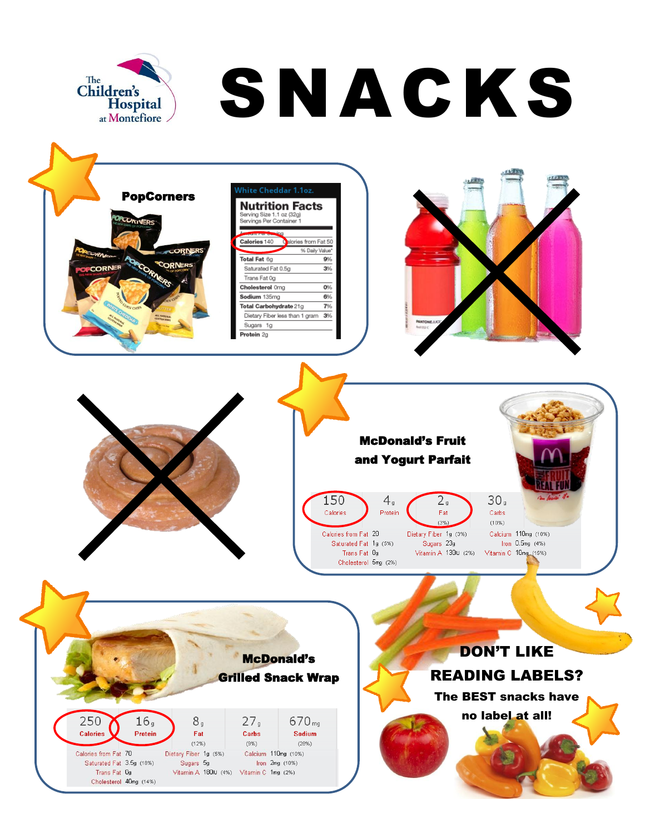



Cholesterol 40mg (14%)